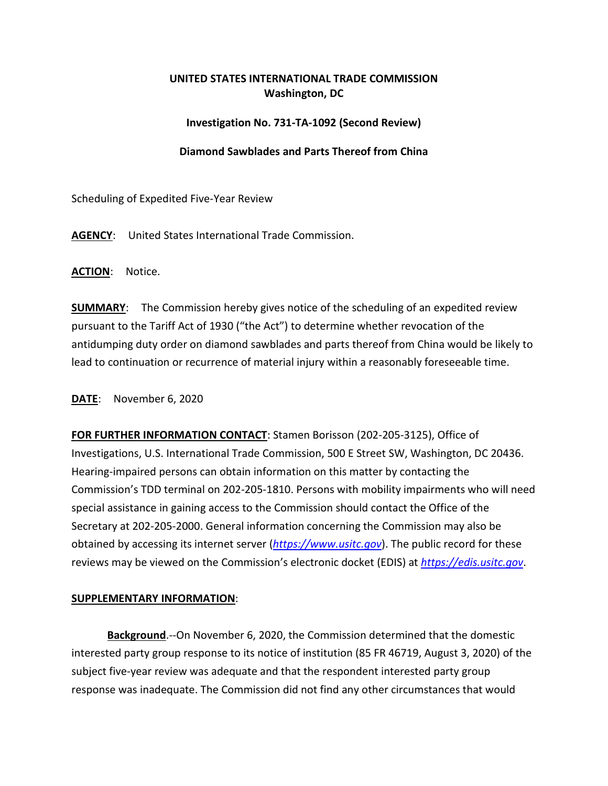# **UNITED STATES INTERNATIONAL TRADE COMMISSION Washington, DC**

# **Investigation No. 731-TA-1092 (Second Review)**

# **Diamond Sawblades and Parts Thereof from China**

Scheduling of Expedited Five-Year Review

**AGENCY**: United States International Trade Commission.

**ACTION**: Notice.

**SUMMARY**: The Commission hereby gives notice of the scheduling of an expedited review pursuant to the Tariff Act of 1930 ("the Act") to determine whether revocation of the antidumping duty order on diamond sawblades and parts thereof from China would be likely to lead to continuation or recurrence of material injury within a reasonably foreseeable time.

# **DATE**: November 6, 2020

**FOR FURTHER INFORMATION CONTACT**: Stamen Borisson (202-205-3125), Office of Investigations, U.S. International Trade Commission, 500 E Street SW, Washington, DC 20436. Hearing-impaired persons can obtain information on this matter by contacting the Commission's TDD terminal on 202-205-1810. Persons with mobility impairments who will need special assistance in gaining access to the Commission should contact the Office of the Secretary at 202-205-2000. General information concerning the Commission may also be obtained by accessing its internet server (*[https://www.usitc.gov](https://www.usitc.gov/)*). The public record for these reviews may be viewed on the Commission's electronic docket (EDIS) at *[https://edis.usitc.gov](https://edis.usitc.gov/)*.

#### **SUPPLEMENTARY INFORMATION**:

**Background**.--On November 6, 2020, the Commission determined that the domestic interested party group response to its notice of institution (85 FR 46719, August 3, 2020) of the subject five-year review was adequate and that the respondent interested party group response was inadequate. The Commission did not find any other circumstances that would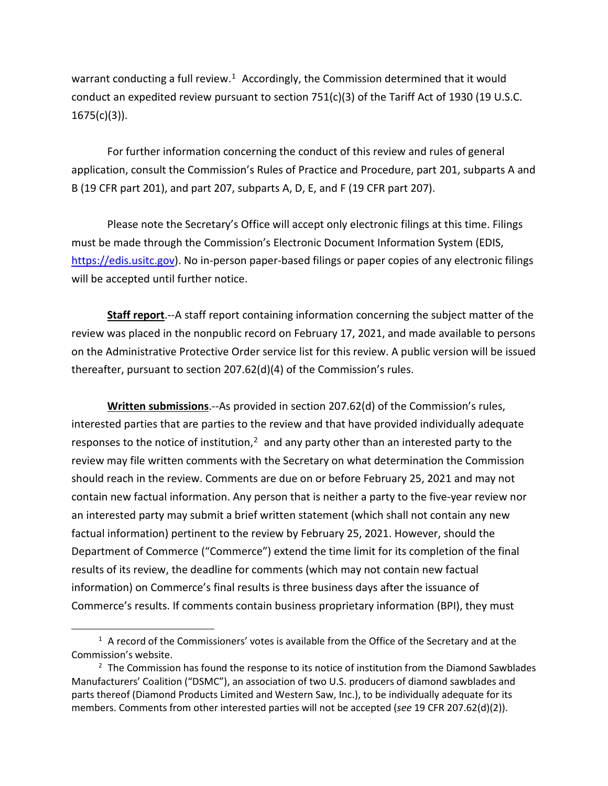warrant conducting a full review.<sup>1</sup> Accordingly, the Commission determined that it would conduct an expedited review pursuant to section 751(c)(3) of the Tariff Act of 1930 (19 U.S.C.  $1675(c)(3)$ ).

For further information concerning the conduct of this review and rules of general application, consult the Commission's Rules of Practice and Procedure, part 201, subparts A and B (19 CFR part 201), and part 207, subparts A, D, E, and F (19 CFR part 207).

Please note the Secretary's Office will accept only electronic filings at this time. Filings must be made through the Commission's Electronic Document Information System (EDIS, [https://edis.usitc.gov\)](https://edis.usitc.gov/). No in-person paper-based filings or paper copies of any electronic filings will be accepted until further notice.

**Staff report**.--A staff report containing information concerning the subject matter of the review was placed in the nonpublic record on February 17, 2021, and made available to persons on the Administrative Protective Order service list for this review. A public version will be issued thereafter, pursuant to section 207.62(d)(4) of the Commission's rules.

**Written submissions**.--As provided in section 207.62(d) of the Commission's rules, interested parties that are parties to the review and that have provided individually adequate responses to the notice of institution, $<sup>2</sup>$  $<sup>2</sup>$  $<sup>2</sup>$  and any party other than an interested party to the</sup> review may file written comments with the Secretary on what determination the Commission should reach in the review. Comments are due on or before February 25, 2021 and may not contain new factual information. Any person that is neither a party to the five-year review nor an interested party may submit a brief written statement (which shall not contain any new factual information) pertinent to the review by February 25, 2021. However, should the Department of Commerce ("Commerce") extend the time limit for its completion of the final results of its review, the deadline for comments (which may not contain new factual information) on Commerce's final results is three business days after the issuance of Commerce's results. If comments contain business proprietary information (BPI), they must

<span id="page-1-0"></span> $1$  A record of the Commissioners' votes is available from the Office of the Secretary and at the Commission's website.

<span id="page-1-1"></span> $2$  The Commission has found the response to its notice of institution from the Diamond Sawblades Manufacturers' Coalition ("DSMC"), an association of two U.S. producers of diamond sawblades and parts thereof (Diamond Products Limited and Western Saw, Inc.), to be individually adequate for its members. Comments from other interested parties will not be accepted (*see* 19 CFR 207.62(d)(2)).